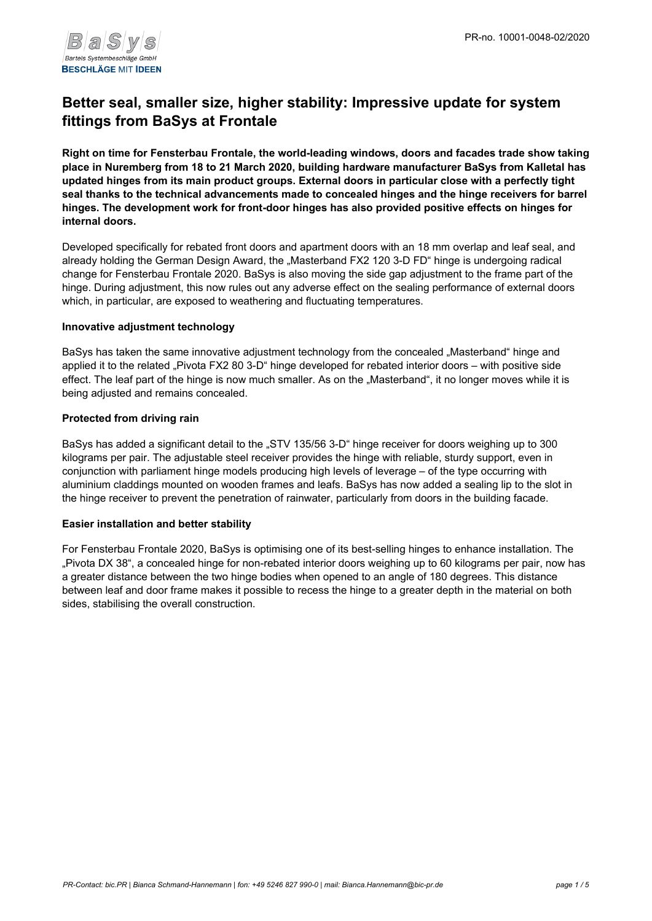

# **Better seal, smaller size, higher stability: Impressive update for system fittings from BaSys at Frontale**

**Right on time for Fensterbau Frontale, the world-leading windows, doors and facades trade show taking place in Nuremberg from 18 to 21 March 2020, building hardware manufacturer BaSys from Kalletal has updated hinges from its main product groups. External doors in particular close with a perfectly tight seal thanks to the technical advancements made to concealed hinges and the hinge receivers for barrel hinges. The development work for front-door hinges has also provided positive effects on hinges for internal doors.**

Developed specifically for rebated front doors and apartment doors with an 18 mm overlap and leaf seal, and already holding the German Design Award, the "Masterband FX2 120 3-D FD" hinge is undergoing radical change for Fensterbau Frontale 2020. BaSys is also moving the side gap adjustment to the frame part of the hinge. During adjustment, this now rules out any adverse effect on the sealing performance of external doors which, in particular, are exposed to weathering and fluctuating temperatures.

### **Innovative adjustment technology**

BaSys has taken the same innovative adjustment technology from the concealed "Masterband" hinge and applied it to the related "Pivota FX2 80 3-D" hinge developed for rebated interior doors – with positive side effect. The leaf part of the hinge is now much smaller. As on the "Masterband", it no longer moves while it is being adjusted and remains concealed.

### **Protected from driving rain**

BaSys has added a significant detail to the "STV 135/56 3-D" hinge receiver for doors weighing up to 300 kilograms per pair. The adjustable steel receiver provides the hinge with reliable, sturdy support, even in conjunction with parliament hinge models producing high levels of leverage – of the type occurring with aluminium claddings mounted on wooden frames and leafs. BaSys has now added a sealing lip to the slot in the hinge receiver to prevent the penetration of rainwater, particularly from doors in the building facade.

### **Easier installation and better stability**

For Fensterbau Frontale 2020, BaSys is optimising one of its best-selling hinges to enhance installation. The "Pivota DX 38", a concealed hinge for non-rebated interior doors weighing up to 60 kilograms per pair, now has a greater distance between the two hinge bodies when opened to an angle of 180 degrees. This distance between leaf and door frame makes it possible to recess the hinge to a greater depth in the material on both sides, stabilising the overall construction.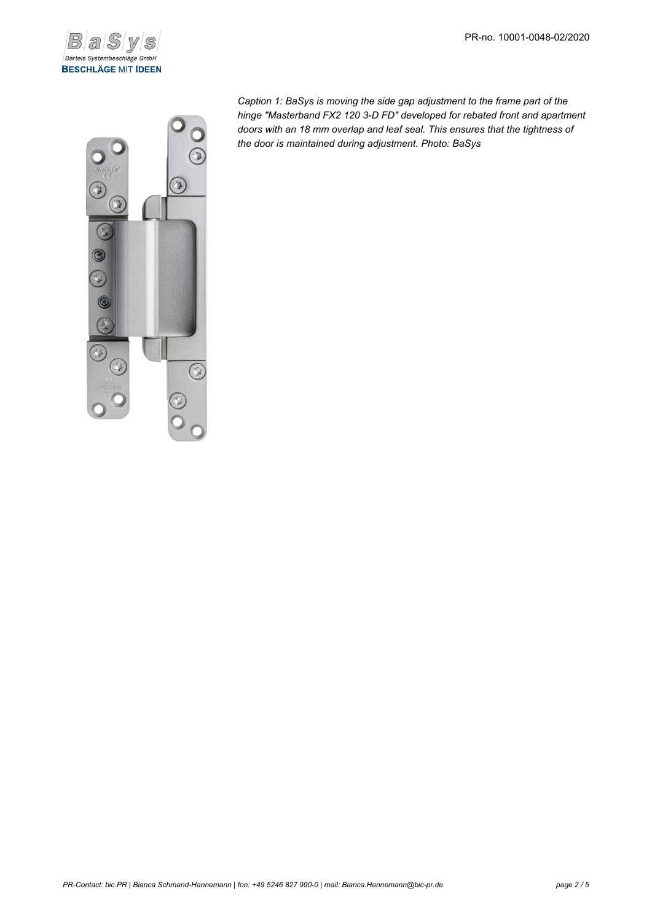



*Caption 1: BaSys is moving the side gap adjustment to the frame part of the hinge "Masterband FX2 120 3-D FD" developed for rebated front and apartment doors with an 18 mm overlap and leaf seal. This ensures that the tightness of the door is maintained during adjustment. Photo: BaSys*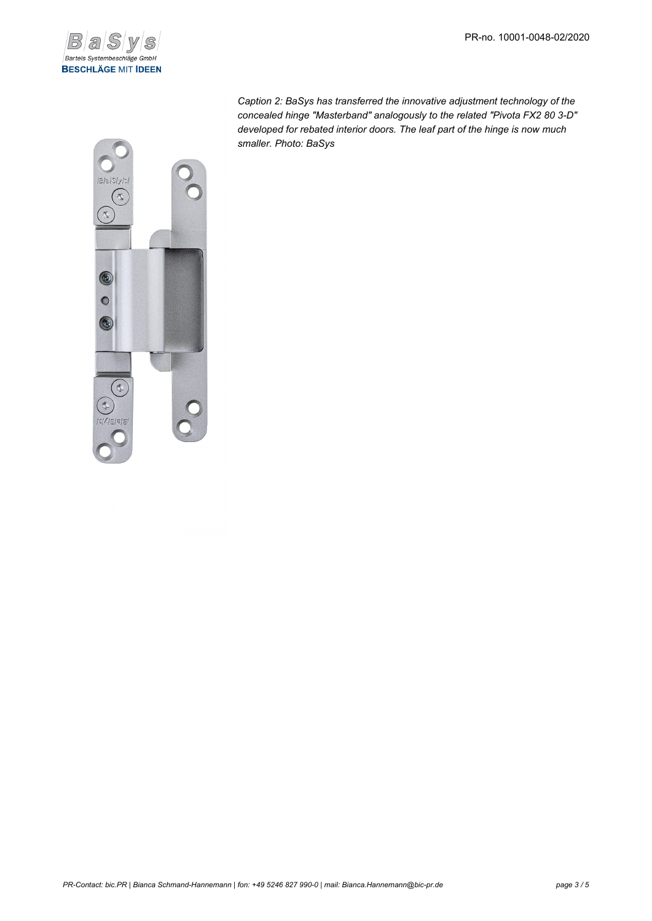

*Caption 2: BaSys has transferred the innovative adjustment technology of the concealed hinge "Masterband" analogously to the related "Pivota FX2 80 3-D" developed for rebated interior doors. The leaf part of the hinge is now much smaller. Photo: BaSys*

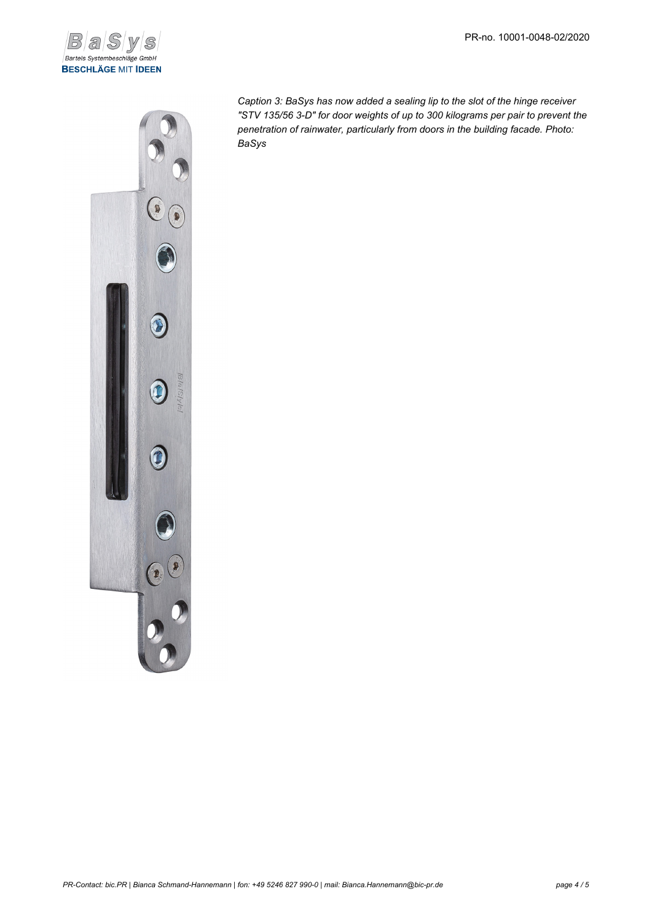



*Caption 3: BaSys has now added a sealing lip to the slot of the hinge receiver "STV 135/56 3-D" for door weights of up to 300 kilograms per pair to prevent the penetration of rainwater, particularly from doors in the building facade. Photo: BaSys*